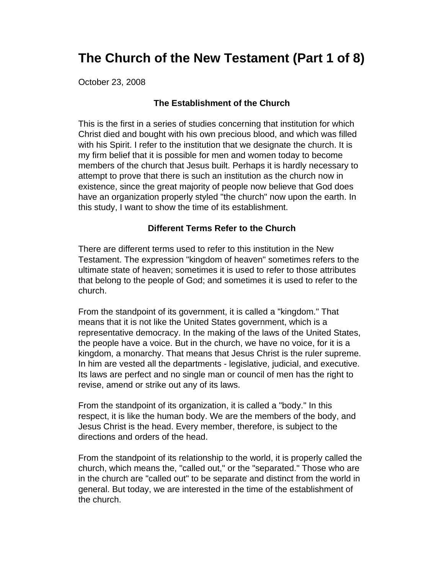# **The Church of the New Testament (Part 1 of 8)**

October 23, 2008

## **The Establishment of the Church**

This is the first in a series of studies concerning that institution for which Christ died and bought with his own precious blood, and which was filled with his Spirit. I refer to the institution that we designate the church. It is my firm belief that it is possible for men and women today to become members of the church that Jesus built. Perhaps it is hardly necessary to attempt to prove that there is such an institution as the church now in existence, since the great majority of people now believe that God does have an organization properly styled "the church" now upon the earth. In this study, I want to show the time of its establishment.

## **Different Terms Refer to the Church**

There are different terms used to refer to this institution in the New Testament. The expression "kingdom of heaven" sometimes refers to the ultimate state of heaven; sometimes it is used to refer to those attributes that belong to the people of God; and sometimes it is used to refer to the church.

From the standpoint of its government, it is called a "kingdom." That means that it is not like the United States government, which is a representative democracy. In the making of the laws of the United States, the people have a voice. But in the church, we have no voice, for it is a kingdom, a monarchy. That means that Jesus Christ is the ruler supreme. In him are vested all the departments - legislative, judicial, and executive. Its laws are perfect and no single man or council of men has the right to revise, amend or strike out any of its laws.

From the standpoint of its organization, it is called a "body." In this respect, it is like the human body. We are the members of the body, and Jesus Christ is the head. Every member, therefore, is subject to the directions and orders of the head.

From the standpoint of its relationship to the world, it is properly called the church, which means the, "called out," or the "separated." Those who are in the church are "called out" to be separate and distinct from the world in general. But today, we are interested in the time of the establishment of the church.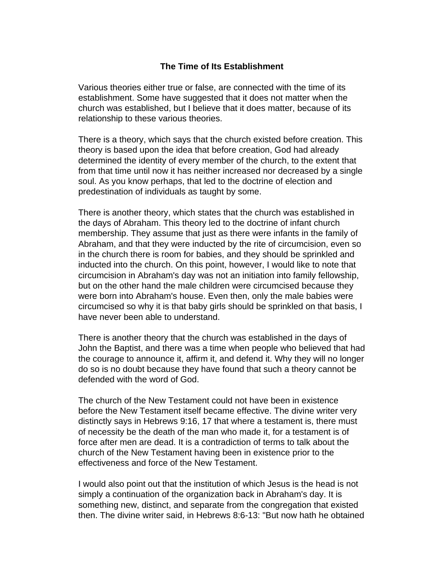## **The Time of Its Establishment**

Various theories either true or false, are connected with the time of its establishment. Some have suggested that it does not matter when the church was established, but I believe that it does matter, because of its relationship to these various theories.

There is a theory, which says that the church existed before creation. This theory is based upon the idea that before creation, God had already determined the identity of every member of the church, to the extent that from that time until now it has neither increased nor decreased by a single soul. As you know perhaps, that led to the doctrine of election and predestination of individuals as taught by some.

There is another theory, which states that the church was established in the days of Abraham. This theory led to the doctrine of infant church membership. They assume that just as there were infants in the family of Abraham, and that they were inducted by the rite of circumcision, even so in the church there is room for babies, and they should be sprinkled and inducted into the church. On this point, however, I would like to note that circumcision in Abraham's day was not an initiation into family fellowship, but on the other hand the male children were circumcised because they were born into Abraham's house. Even then, only the male babies were circumcised so why it is that baby girls should be sprinkled on that basis, I have never been able to understand.

There is another theory that the church was established in the days of John the Baptist, and there was a time when people who believed that had the courage to announce it, affirm it, and defend it. Why they will no longer do so is no doubt because they have found that such a theory cannot be defended with the word of God.

The church of the New Testament could not have been in existence before the New Testament itself became effective. The divine writer very distinctly says in Hebrews 9:16, 17 that where a testament is, there must of necessity be the death of the man who made it, for a testament is of force after men are dead. It is a contradiction of terms to talk about the church of the New Testament having been in existence prior to the effectiveness and force of the New Testament.

I would also point out that the institution of which Jesus is the head is not simply a continuation of the organization back in Abraham's day. It is something new, distinct, and separate from the congregation that existed then. The divine writer said, in Hebrews 8:6-13: "But now hath he obtained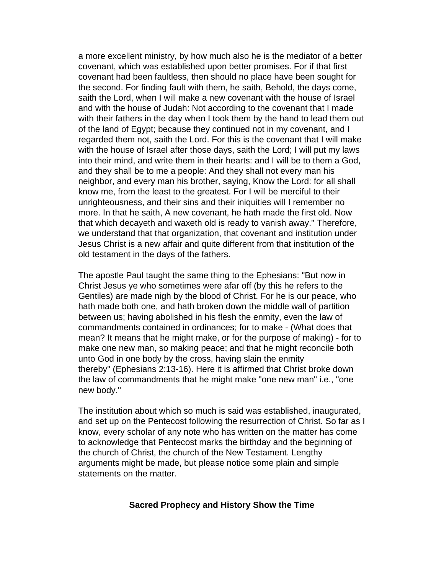a more excellent ministry, by how much also he is the mediator of a better covenant, which was established upon better promises. For if that first covenant had been faultless, then should no place have been sought for the second. For finding fault with them, he saith, Behold, the days come, saith the Lord, when I will make a new covenant with the house of Israel and with the house of Judah: Not according to the covenant that I made with their fathers in the day when I took them by the hand to lead them out of the land of Egypt; because they continued not in my covenant, and I regarded them not, saith the Lord. For this is the covenant that I will make with the house of Israel after those days, saith the Lord; I will put my laws into their mind, and write them in their hearts: and I will be to them a God, and they shall be to me a people: And they shall not every man his neighbor, and every man his brother, saying, Know the Lord: for all shall know me, from the least to the greatest. For I will be merciful to their unrighteousness, and their sins and their iniquities will I remember no more. In that he saith, A new covenant, he hath made the first old. Now that which decayeth and waxeth old is ready to vanish away." Therefore, we understand that that organization, that covenant and institution under Jesus Christ is a new affair and quite different from that institution of the old testament in the days of the fathers.

The apostle Paul taught the same thing to the Ephesians: "But now in Christ Jesus ye who sometimes were afar off (by this he refers to the Gentiles) are made nigh by the blood of Christ. For he is our peace, who hath made both one, and hath broken down the middle wall of partition between us; having abolished in his flesh the enmity, even the law of commandments contained in ordinances; for to make - (What does that mean? It means that he might make, or for the purpose of making) - for to make one new man, so making peace; and that he might reconcile both unto God in one body by the cross, having slain the enmity thereby" (Ephesians 2:13-16). Here it is affirmed that Christ broke down the law of commandments that he might make "one new man" i.e., "one new body."

The institution about which so much is said was established, inaugurated, and set up on the Pentecost following the resurrection of Christ. So far as I know, every scholar of any note who has written on the matter has come to acknowledge that Pentecost marks the birthday and the beginning of the church of Christ, the church of the New Testament. Lengthy arguments might be made, but please notice some plain and simple statements on the matter.

#### **Sacred Prophecy and History Show the Time**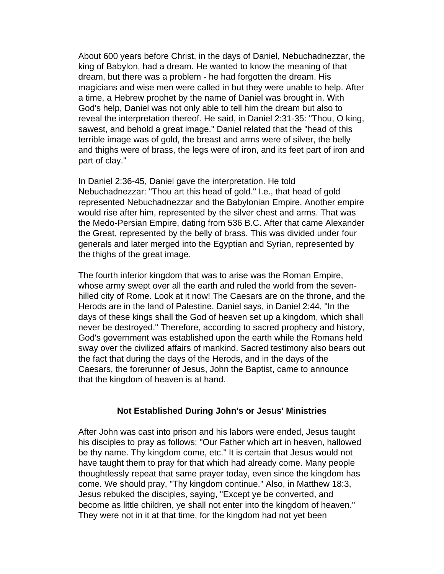About 600 years before Christ, in the days of Daniel, Nebuchadnezzar, the king of Babylon, had a dream. He wanted to know the meaning of that dream, but there was a problem - he had forgotten the dream. His magicians and wise men were called in but they were unable to help. After a time, a Hebrew prophet by the name of Daniel was brought in. With God's help, Daniel was not only able to tell him the dream but also to reveal the interpretation thereof. He said, in Daniel 2:31-35: "Thou, O king, sawest, and behold a great image." Daniel related that the "head of this terrible image was of gold, the breast and arms were of silver, the belly and thighs were of brass, the legs were of iron, and its feet part of iron and part of clay."

In Daniel 2:36-45, Daniel gave the interpretation. He told Nebuchadnezzar: "Thou art this head of gold." I.e., that head of gold represented Nebuchadnezzar and the Babylonian Empire. Another empire would rise after him, represented by the silver chest and arms. That was the Medo-Persian Empire, dating from 536 B.C. After that came Alexander the Great, represented by the belly of brass. This was divided under four generals and later merged into the Egyptian and Syrian, represented by the thighs of the great image.

The fourth inferior kingdom that was to arise was the Roman Empire, whose army swept over all the earth and ruled the world from the sevenhilled city of Rome. Look at it now! The Caesars are on the throne, and the Herods are in the land of Palestine. Daniel says, in Daniel 2:44, "In the days of these kings shall the God of heaven set up a kingdom, which shall never be destroyed." Therefore, according to sacred prophecy and history, God's government was established upon the earth while the Romans held sway over the civilized affairs of mankind. Sacred testimony also bears out the fact that during the days of the Herods, and in the days of the Caesars, the forerunner of Jesus, John the Baptist, came to announce that the kingdom of heaven is at hand.

## **Not Established During John's or Jesus' Ministries**

After John was cast into prison and his labors were ended, Jesus taught his disciples to pray as follows: "Our Father which art in heaven, hallowed be thy name. Thy kingdom come, etc." It is certain that Jesus would not have taught them to pray for that which had already come. Many people thoughtlessly repeat that same prayer today, even since the kingdom has come. We should pray, "Thy kingdom continue." Also, in Matthew 18:3, Jesus rebuked the disciples, saying, "Except ye be converted, and become as little children, ye shall not enter into the kingdom of heaven." They were not in it at that time, for the kingdom had not yet been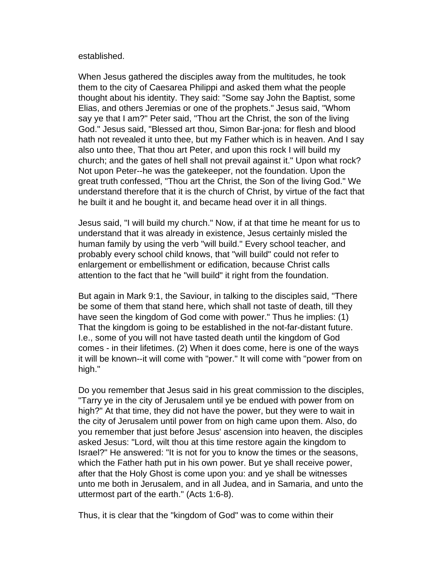### established.

When Jesus gathered the disciples away from the multitudes, he took them to the city of Caesarea Philippi and asked them what the people thought about his identity. They said: "Some say John the Baptist, some Elias, and others Jeremias or one of the prophets." Jesus said, "Whom say ye that I am?" Peter said, "Thou art the Christ, the son of the living God." Jesus said, "Blessed art thou, Simon Bar-jona: for flesh and blood hath not revealed it unto thee, but my Father which is in heaven. And I say also unto thee, That thou art Peter, and upon this rock I will build my church; and the gates of hell shall not prevail against it." Upon what rock? Not upon Peter--he was the gatekeeper, not the foundation. Upon the great truth confessed, "Thou art the Christ, the Son of the living God." We understand therefore that it is the church of Christ, by virtue of the fact that he built it and he bought it, and became head over it in all things.

Jesus said, "I will build my church." Now, if at that time he meant for us to understand that it was already in existence, Jesus certainly misled the human family by using the verb "will build." Every school teacher, and probably every school child knows, that "will build" could not refer to enlargement or embellishment or edification, because Christ calls attention to the fact that he "will build" it right from the foundation.

But again in Mark 9:1, the Saviour, in talking to the disciples said, "There be some of them that stand here, which shall not taste of death, till they have seen the kingdom of God come with power." Thus he implies: (1) That the kingdom is going to be established in the not-far-distant future. I.e., some of you will not have tasted death until the kingdom of God comes - in their lifetimes. (2) When it does come, here is one of the ways it will be known--it will come with "power." It will come with "power from on high."

Do you remember that Jesus said in his great commission to the disciples, "Tarry ye in the city of Jerusalem until ye be endued with power from on high?" At that time, they did not have the power, but they were to wait in the city of Jerusalem until power from on high came upon them. Also, do you remember that just before Jesus' ascension into heaven, the disciples asked Jesus: "Lord, wilt thou at this time restore again the kingdom to Israel?" He answered: "It is not for you to know the times or the seasons, which the Father hath put in his own power. But ye shall receive power, after that the Holy Ghost is come upon you: and ye shall be witnesses unto me both in Jerusalem, and in all Judea, and in Samaria, and unto the uttermost part of the earth." (Acts 1:6-8).

Thus, it is clear that the "kingdom of God" was to come within their